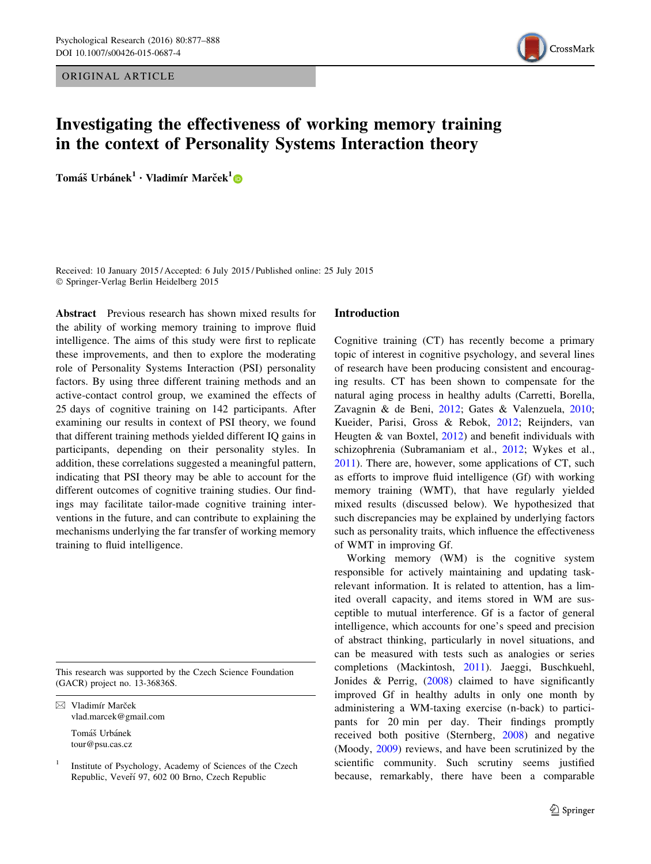ORIGINAL ARTICLE



# Investigating the effectiveness of working memory training in the context of Personality Systems Interaction theory

Tomáš Urbánek<sup>1</sup> • Vladimír Marček<sup>1</sup>

Received: 10 January 2015 / Accepted: 6 July 2015 / Published online: 25 July 2015 - Springer-Verlag Berlin Heidelberg 2015

Abstract Previous research has shown mixed results for the ability of working memory training to improve fluid intelligence. The aims of this study were first to replicate these improvements, and then to explore the moderating role of Personality Systems Interaction (PSI) personality factors. By using three different training methods and an active-contact control group, we examined the effects of 25 days of cognitive training on 142 participants. After examining our results in context of PSI theory, we found that different training methods yielded different IQ gains in participants, depending on their personality styles. In addition, these correlations suggested a meaningful pattern, indicating that PSI theory may be able to account for the different outcomes of cognitive training studies. Our findings may facilitate tailor-made cognitive training interventions in the future, and can contribute to explaining the mechanisms underlying the far transfer of working memory training to fluid intelligence.

This research was supported by the Czech Science Foundation (GACR) project no. 13-36836S.

 $\boxtimes$  Vladimír Marček vlad.marcek@gmail.com

> Tomáš Urbánek tour@psu.cas.cz

## Introduction

Cognitive training (CT) has recently become a primary topic of interest in cognitive psychology, and several lines of research have been producing consistent and encouraging results. CT has been shown to compensate for the natural aging process in healthy adults (Carretti, Borella, Zavagnin & de Beni, [2012;](#page-9-0) Gates & Valenzuela, [2010](#page-9-0); Kueider, Parisi, Gross & Rebok, [2012;](#page-10-0) Reijnders, van Heugten & van Boxtel, [2012](#page-10-0)) and benefit individuals with schizophrenia (Subramaniam et al., [2012;](#page-11-0) Wykes et al., [2011](#page-11-0)). There are, however, some applications of CT, such as efforts to improve fluid intelligence (Gf) with working memory training (WMT), that have regularly yielded mixed results (discussed below). We hypothesized that such discrepancies may be explained by underlying factors such as personality traits, which influence the effectiveness of WMT in improving Gf.

Working memory (WM) is the cognitive system responsible for actively maintaining and updating taskrelevant information. It is related to attention, has a limited overall capacity, and items stored in WM are susceptible to mutual interference. Gf is a factor of general intelligence, which accounts for one's speed and precision of abstract thinking, particularly in novel situations, and can be measured with tests such as analogies or series completions (Mackintosh, [2011](#page-10-0)). Jaeggi, Buschkuehl, Jonides & Perrig, ([2008\)](#page-9-0) claimed to have significantly improved Gf in healthy adults in only one month by administering a WM-taxing exercise (n-back) to participants for 20 min per day. Their findings promptly received both positive (Sternberg, [2008\)](#page-11-0) and negative (Moody, [2009](#page-10-0)) reviews, and have been scrutinized by the scientific community. Such scrutiny seems justified because, remarkably, there have been a comparable

<sup>1</sup> Institute of Psychology, Academy of Sciences of the Czech Republic, Veveří 97, 602 00 Brno, Czech Republic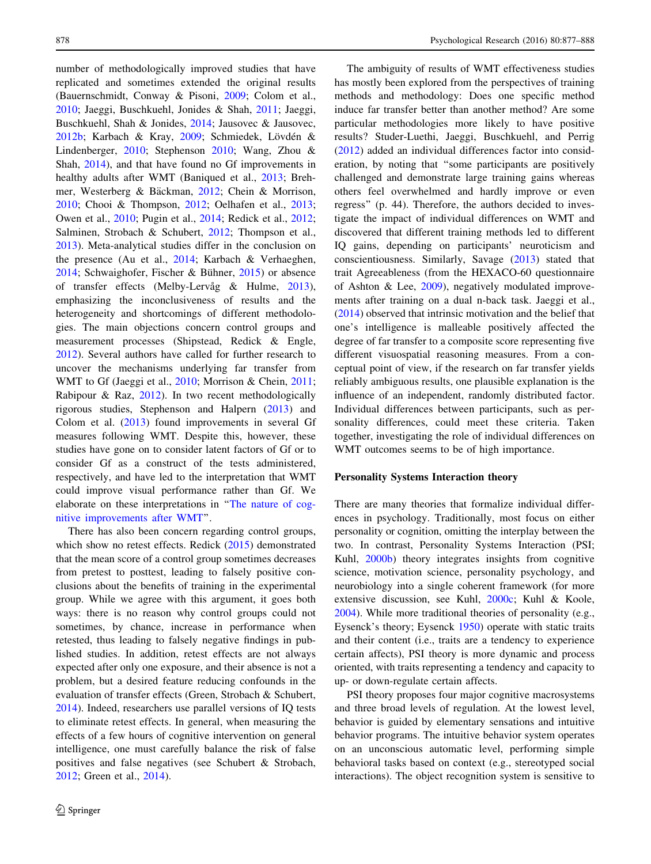number of methodologically improved studies that have replicated and sometimes extended the original results (Bauernschmidt, Conway & Pisoni, [2009](#page-9-0); Colom et al., [2010;](#page-9-0) Jaeggi, Buschkuehl, Jonides & Shah, [2011](#page-9-0); Jaeggi, Buschkuehl, Shah & Jonides, [2014](#page-10-0); Jausovec & Jausovec, [2012b;](#page-10-0) Karbach & Kray, [2009;](#page-10-0) Schmiedek, Lövdén & Lindenberger, [2010](#page-10-0); Stephenson [2010;](#page-11-0) Wang, Zhou & Shah, [2014](#page-11-0)), and that have found no Gf improvements in healthy adults after WMT (Baniqued et al., [2013](#page-9-0); Breh-mer, Westerberg & Bäckman, [2012](#page-9-0); Chein & Morrison, [2010;](#page-9-0) Chooi & Thompson, [2012](#page-9-0); Oelhafen et al., [2013](#page-10-0); Owen et al., [2010](#page-10-0); Pugin et al., [2014;](#page-10-0) Redick et al., [2012](#page-10-0); Salminen, Strobach & Schubert, [2012;](#page-10-0) Thompson et al., [2013\)](#page-11-0). Meta-analytical studies differ in the conclusion on the presence (Au et al., [2014;](#page-9-0) Karbach & Verhaeghen, [2014;](#page-10-0) Schwaighofer, Fischer & Bühner,  $2015$ ) or absence of transfer effects (Melby-Lervåg  $\&$  Hulme, [2013](#page-10-0)), emphasizing the inconclusiveness of results and the heterogeneity and shortcomings of different methodologies. The main objections concern control groups and measurement processes (Shipstead, Redick & Engle, [2012\)](#page-11-0). Several authors have called for further research to uncover the mechanisms underlying far transfer from WMT to Gf (Jaeggi et al., [2010](#page-10-0); Morrison & Chein, [2011](#page-10-0); Rabipour & Raz, [2012](#page-10-0)). In two recent methodologically rigorous studies, Stephenson and Halpern ([2013\)](#page-11-0) and Colom et al. ([2013\)](#page-9-0) found improvements in several Gf measures following WMT. Despite this, however, these studies have gone on to consider latent factors of Gf or to consider Gf as a construct of the tests administered, respectively, and have led to the interpretation that WMT could improve visual performance rather than Gf. We elaborate on these interpretations in '['The nature of cog](#page-8-0)[nitive improvements after WMT](#page-8-0)''.

There has also been concern regarding control groups, which show no retest effects. Redick ([2015\)](#page-10-0) demonstrated that the mean score of a control group sometimes decreases from pretest to posttest, leading to falsely positive conclusions about the benefits of training in the experimental group. While we agree with this argument, it goes both ways: there is no reason why control groups could not sometimes, by chance, increase in performance when retested, thus leading to falsely negative findings in published studies. In addition, retest effects are not always expected after only one exposure, and their absence is not a problem, but a desired feature reducing confounds in the evaluation of transfer effects (Green, Strobach & Schubert, [2014\)](#page-9-0). Indeed, researchers use parallel versions of IQ tests to eliminate retest effects. In general, when measuring the effects of a few hours of cognitive intervention on general intelligence, one must carefully balance the risk of false positives and false negatives (see Schubert & Strobach, [2012;](#page-11-0) Green et al., [2014](#page-9-0)).

The ambiguity of results of WMT effectiveness studies has mostly been explored from the perspectives of training methods and methodology: Does one specific method induce far transfer better than another method? Are some particular methodologies more likely to have positive results? Studer-Luethi, Jaeggi, Buschkuehl, and Perrig [\(2012](#page-11-0)) added an individual differences factor into consideration, by noting that ''some participants are positively challenged and demonstrate large training gains whereas others feel overwhelmed and hardly improve or even regress'' (p. 44). Therefore, the authors decided to investigate the impact of individual differences on WMT and discovered that different training methods led to different IQ gains, depending on participants' neuroticism and conscientiousness. Similarly, Savage [\(2013](#page-10-0)) stated that trait Agreeableness (from the HEXACO-60 questionnaire of Ashton & Lee, [2009](#page-9-0)), negatively modulated improvements after training on a dual n-back task. Jaeggi et al., [\(2014](#page-10-0)) observed that intrinsic motivation and the belief that one's intelligence is malleable positively affected the degree of far transfer to a composite score representing five different visuospatial reasoning measures. From a conceptual point of view, if the research on far transfer yields reliably ambiguous results, one plausible explanation is the influence of an independent, randomly distributed factor. Individual differences between participants, such as personality differences, could meet these criteria. Taken together, investigating the role of individual differences on WMT outcomes seems to be of high importance.

#### Personality Systems Interaction theory

There are many theories that formalize individual differences in psychology. Traditionally, most focus on either personality or cognition, omitting the interplay between the two. In contrast, Personality Systems Interaction (PSI; Kuhl, [2000b](#page-10-0)) theory integrates insights from cognitive science, motivation science, personality psychology, and neurobiology into a single coherent framework (for more extensive discussion, see Kuhl, [2000c](#page-10-0); Kuhl & Koole, [2004](#page-10-0)). While more traditional theories of personality (e.g., Eysenck's theory; Eysenck [1950](#page-9-0)) operate with static traits and their content (i.e., traits are a tendency to experience certain affects), PSI theory is more dynamic and process oriented, with traits representing a tendency and capacity to up- or down-regulate certain affects.

PSI theory proposes four major cognitive macrosystems and three broad levels of regulation. At the lowest level, behavior is guided by elementary sensations and intuitive behavior programs. The intuitive behavior system operates on an unconscious automatic level, performing simple behavioral tasks based on context (e.g., stereotyped social interactions). The object recognition system is sensitive to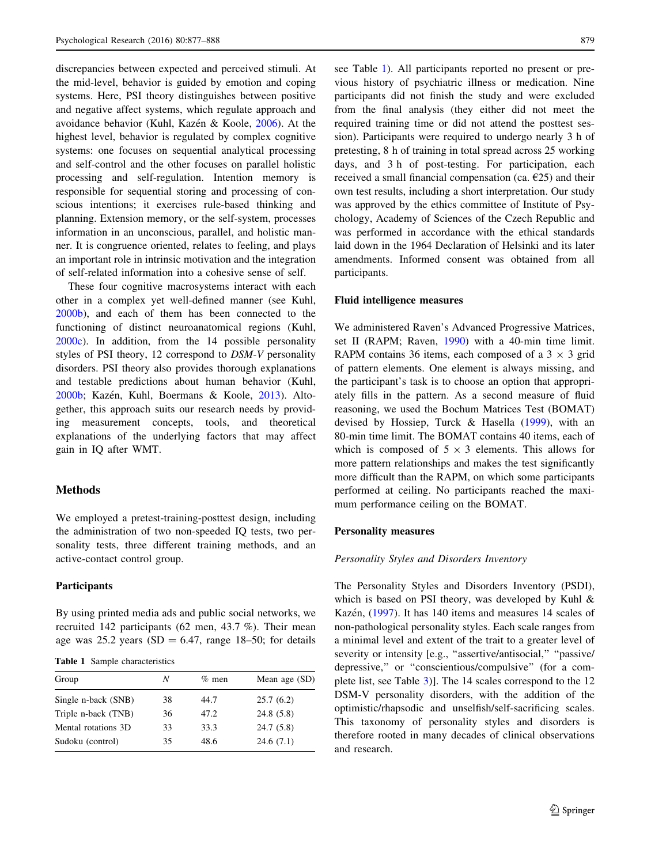discrepancies between expected and perceived stimuli. At the mid-level, behavior is guided by emotion and coping systems. Here, PSI theory distinguishes between positive and negative affect systems, which regulate approach and avoidance behavior (Kuhl, Kazén & Koole,  $2006$ ). At the highest level, behavior is regulated by complex cognitive systems: one focuses on sequential analytical processing and self-control and the other focuses on parallel holistic processing and self-regulation. Intention memory is responsible for sequential storing and processing of conscious intentions; it exercises rule-based thinking and planning. Extension memory, or the self-system, processes information in an unconscious, parallel, and holistic manner. It is congruence oriented, relates to feeling, and plays an important role in intrinsic motivation and the integration of self-related information into a cohesive sense of self.

These four cognitive macrosystems interact with each other in a complex yet well-defined manner (see Kuhl, [2000b\)](#page-10-0), and each of them has been connected to the functioning of distinct neuroanatomical regions (Kuhl, [2000c](#page-10-0)). In addition, from the 14 possible personality styles of PSI theory, 12 correspond to DSM-V personality disorders. PSI theory also provides thorough explanations and testable predictions about human behavior (Kuhl, [2000b;](#page-10-0) Kazén, Kuhl, Boermans & Koole, [2013\)](#page-10-0). Altogether, this approach suits our research needs by providing measurement concepts, tools, and theoretical explanations of the underlying factors that may affect gain in IQ after WMT.

# Methods

We employed a pretest-training-posttest design, including the administration of two non-speeded IQ tests, two personality tests, three different training methods, and an active-contact control group.

# Participants

By using printed media ads and public social networks, we recruited 142 participants (62 men, 43.7 %). Their mean age was 25.2 years (SD =  $6.47$ , range 18–50; for details

Table 1 Sample characteristics

| Group               | N  | $\%$ men | Mean age (SD) |  |  |
|---------------------|----|----------|---------------|--|--|
| Single n-back (SNB) | 38 | 44.7     | 25.7(6.2)     |  |  |
| Triple n-back (TNB) | 36 | 47.2     | 24.8(5.8)     |  |  |
| Mental rotations 3D | 33 | 33.3     | 24.7(5.8)     |  |  |
| Sudoku (control)    | 35 | 48.6     | 24.6(7.1)     |  |  |
|                     |    |          |               |  |  |

see Table 1). All participants reported no present or previous history of psychiatric illness or medication. Nine participants did not finish the study and were excluded from the final analysis (they either did not meet the required training time or did not attend the posttest session). Participants were required to undergo nearly 3 h of pretesting, 8 h of training in total spread across 25 working days, and 3 h of post-testing. For participation, each received a small financial compensation (ca.  $E$ 25) and their own test results, including a short interpretation. Our study was approved by the ethics committee of Institute of Psychology, Academy of Sciences of the Czech Republic and was performed in accordance with the ethical standards laid down in the 1964 Declaration of Helsinki and its later amendments. Informed consent was obtained from all participants.

#### Fluid intelligence measures

We administered Raven's Advanced Progressive Matrices, set II (RAPM; Raven, [1990\)](#page-10-0) with a 40-min time limit. RAPM contains 36 items, each composed of a  $3 \times 3$  grid of pattern elements. One element is always missing, and the participant's task is to choose an option that appropriately fills in the pattern. As a second measure of fluid reasoning, we used the Bochum Matrices Test (BOMAT) devised by Hossiep, Turck & Hasella ([1999\)](#page-9-0), with an 80-min time limit. The BOMAT contains 40 items, each of which is composed of  $5 \times 3$  elements. This allows for more pattern relationships and makes the test significantly more difficult than the RAPM, on which some participants performed at ceiling. No participants reached the maximum performance ceiling on the BOMAT.

#### Personality measures

## Personality Styles and Disorders Inventory

The Personality Styles and Disorders Inventory (PSDI), which is based on PSI theory, was developed by Kuhl & Kazén, ([1997\)](#page-10-0). It has 140 items and measures 14 scales of non-pathological personality styles. Each scale ranges from a minimal level and extent of the trait to a greater level of severity or intensity [e.g., "assertive/antisocial," "passive/ depressive,'' or ''conscientious/compulsive'' (for a complete list, see Table [3](#page-5-0))]. The 14 scales correspond to the 12 DSM-V personality disorders, with the addition of the optimistic/rhapsodic and unselfish/self-sacrificing scales. This taxonomy of personality styles and disorders is therefore rooted in many decades of clinical observations and research.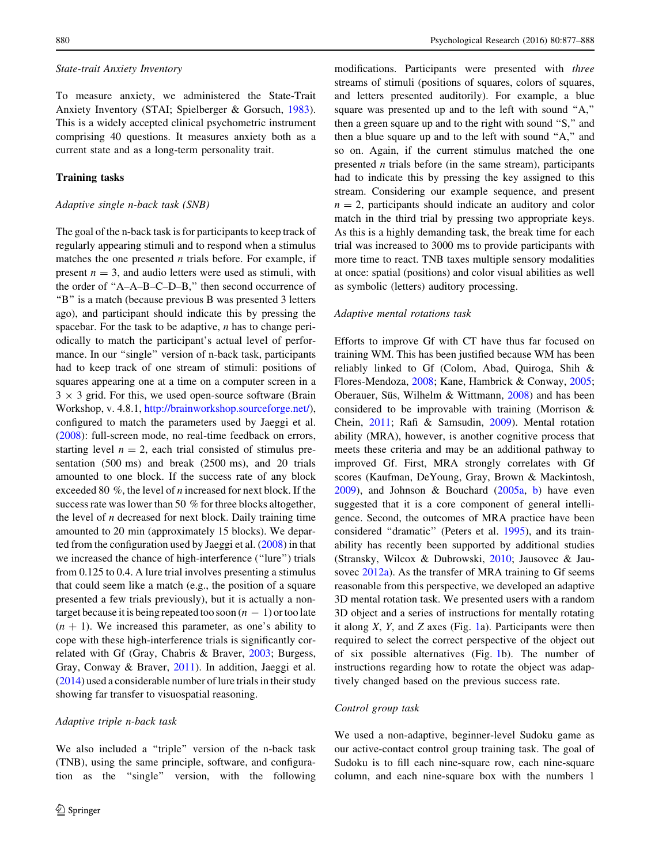#### State-trait Anxiety Inventory

To measure anxiety, we administered the State-Trait Anxiety Inventory (STAI; Spielberger & Gorsuch, [1983](#page-11-0)). This is a widely accepted clinical psychometric instrument comprising 40 questions. It measures anxiety both as a current state and as a long-term personality trait.

# Training tasks

#### Adaptive single n-back task (SNB)

The goal of the n-back task is for participants to keep track of regularly appearing stimuli and to respond when a stimulus matches the one presented  $n$  trials before. For example, if present  $n = 3$ , and audio letters were used as stimuli, with the order of ''A–A–B–C–D–B,'' then second occurrence of "B" is a match (because previous B was presented 3 letters ago), and participant should indicate this by pressing the spacebar. For the task to be adaptive,  $n$  has to change periodically to match the participant's actual level of performance. In our "single" version of n-back task, participants had to keep track of one stream of stimuli: positions of squares appearing one at a time on a computer screen in a  $3 \times 3$  grid. For this, we used open-source software (Brain Workshop, v. 4.8.1, <http://brainworkshop.sourceforge.net/>), configured to match the parameters used by Jaeggi et al. [\(2008](#page-9-0)): full-screen mode, no real-time feedback on errors, starting level  $n = 2$ , each trial consisted of stimulus presentation (500 ms) and break (2500 ms), and 20 trials amounted to one block. If the success rate of any block exceeded 80 %, the level of n increased for next block. If the success rate was lower than 50 % for three blocks altogether, the level of  $n$  decreased for next block. Daily training time amounted to 20 min (approximately 15 blocks). We departed from the configuration used by Jaeggi et al. [\(2008](#page-9-0)) in that we increased the chance of high-interference (''lure'') trials from 0.125 to 0.4. A lure trial involves presenting a stimulus that could seem like a match (e.g., the position of a square presented a few trials previously), but it is actually a nontarget because it is being repeated too soon  $(n - 1)$  or too late  $(n + 1)$ . We increased this parameter, as one's ability to cope with these high-interference trials is significantly correlated with Gf (Gray, Chabris & Braver, [2003;](#page-9-0) Burgess, Gray, Conway & Braver, [2011\)](#page-9-0). In addition, Jaeggi et al. [\(2014](#page-10-0)) used a considerable number of lure trials in their study showing far transfer to visuospatial reasoning.

#### Adaptive triple n-back task

We also included a "triple" version of the n-back task (TNB), using the same principle, software, and configuration as the ''single'' version, with the following modifications. Participants were presented with three streams of stimuli (positions of squares, colors of squares, and letters presented auditorily). For example, a blue square was presented up and to the left with sound "A," then a green square up and to the right with sound ''S,'' and then a blue square up and to the left with sound ''A,'' and so on. Again, if the current stimulus matched the one presented n trials before (in the same stream), participants had to indicate this by pressing the key assigned to this stream. Considering our example sequence, and present  $n = 2$ , participants should indicate an auditory and color match in the third trial by pressing two appropriate keys. As this is a highly demanding task, the break time for each trial was increased to 3000 ms to provide participants with more time to react. TNB taxes multiple sensory modalities at once: spatial (positions) and color visual abilities as well as symbolic (letters) auditory processing.

#### Adaptive mental rotations task

Efforts to improve Gf with CT have thus far focused on training WM. This has been justified because WM has been reliably linked to Gf (Colom, Abad, Quiroga, Shih & Flores-Mendoza, [2008](#page-9-0); Kane, Hambrick & Conway, [2005](#page-10-0); Oberauer, Süs, Wilhelm & Wittmann,  $2008$ ) and has been considered to be improvable with training (Morrison & Chein, [2011;](#page-10-0) Rafi & Samsudin, [2009](#page-10-0)). Mental rotation ability (MRA), however, is another cognitive process that meets these criteria and may be an additional pathway to improved Gf. First, MRA strongly correlates with Gf scores (Kaufman, DeYoung, Gray, Brown & Mackintosh,  $2009$ ), and Johnson & Bouchard ( $2005a$ , [b\)](#page-10-0) have even suggested that it is a core component of general intelligence. Second, the outcomes of MRA practice have been considered ''dramatic'' (Peters et al. [1995\)](#page-10-0), and its trainability has recently been supported by additional studies (Stransky, Wilcox & Dubrowski, [2010](#page-11-0); Jausovec & Jau-sovec [2012a\)](#page-10-0). As the transfer of MRA training to Gf seems reasonable from this perspective, we developed an adaptive 3D mental rotation task. We presented users with a random 3D object and a series of instructions for mentally rotating it along  $X$ ,  $Y$ , and  $Z$  axes (Fig. [1a](#page-4-0)). Participants were then required to select the correct perspective of the object out of six possible alternatives (Fig. [1](#page-4-0)b). The number of instructions regarding how to rotate the object was adaptively changed based on the previous success rate.

# Control group task

We used a non-adaptive, beginner-level Sudoku game as our active-contact control group training task. The goal of Sudoku is to fill each nine-square row, each nine-square column, and each nine-square box with the numbers 1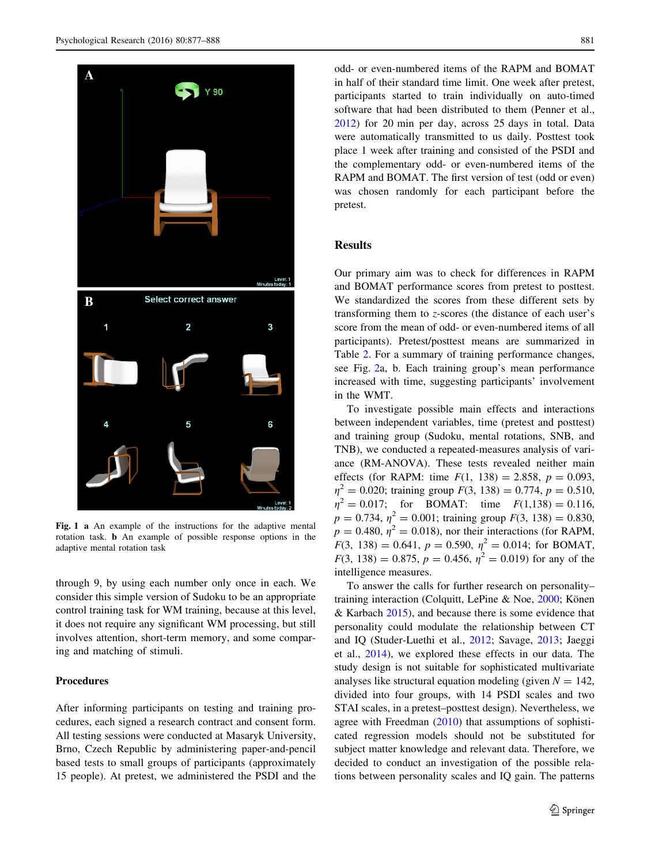<span id="page-4-0"></span>

Fig. 1 a An example of the instructions for the adaptive mental rotation task. b An example of possible response options in the adaptive mental rotation task

through 9, by using each number only once in each. We consider this simple version of Sudoku to be an appropriate control training task for WM training, because at this level, it does not require any significant WM processing, but still involves attention, short-term memory, and some comparing and matching of stimuli.

# Procedures

After informing participants on testing and training procedures, each signed a research contract and consent form. All testing sessions were conducted at Masaryk University, Brno, Czech Republic by administering paper-and-pencil based tests to small groups of participants (approximately 15 people). At pretest, we administered the PSDI and the odd- or even-numbered items of the RAPM and BOMAT in half of their standard time limit. One week after pretest, participants started to train individually on auto-timed software that had been distributed to them (Penner et al., [2012](#page-10-0)) for 20 min per day, across 25 days in total. Data were automatically transmitted to us daily. Posttest took place 1 week after training and consisted of the PSDI and the complementary odd- or even-numbered items of the RAPM and BOMAT. The first version of test (odd or even) was chosen randomly for each participant before the pretest.

# **Results**

Our primary aim was to check for differences in RAPM and BOMAT performance scores from pretest to posttest. We standardized the scores from these different sets by transforming them to z-scores (the distance of each user's score from the mean of odd- or even-numbered items of all participants). Pretest/posttest means are summarized in Table [2](#page-5-0). For a summary of training performance changes, see Fig. [2a](#page-5-0), b. Each training group's mean performance increased with time, suggesting participants' involvement in the WMT.

To investigate possible main effects and interactions between independent variables, time (pretest and posttest) and training group (Sudoku, mental rotations, SNB, and TNB), we conducted a repeated-measures analysis of variance (RM-ANOVA). These tests revealed neither main effects (for RAPM: time  $F(1, 138) = 2.858$ ,  $p = 0.093$ ,  $\eta^2 = 0.020$ ; training group  $F(3, 138) = 0.774$ ,  $p = 0.510$ ,  $\eta^2 = 0.017$ ; for BOMAT: time  $F(1,138) = 0.116$ ,  $p = 0.734$ ,  $\eta^2 = 0.001$ ; training group  $F(3, 138) = 0.830$ ,  $p = 0.480$ ,  $\eta^2 = 0.018$ ), nor their interactions (for RAPM,  $F(3, 138) = 0.641$ ,  $p = 0.590$ ,  $\eta^2 = 0.014$ ; for BOMAT,  $F(3, 138) = 0.875$ ,  $p = 0.456$ ,  $\eta^2 = 0.019$ ) for any of the intelligence measures.

To answer the calls for further research on personality– training interaction (Colquitt, LePine & Noe,  $2000$ ; Könen & Karbach [2015\)](#page-10-0), and because there is some evidence that personality could modulate the relationship between CT and IQ (Studer-Luethi et al., [2012;](#page-11-0) Savage, [2013;](#page-10-0) Jaeggi et al., [2014](#page-10-0)), we explored these effects in our data. The study design is not suitable for sophisticated multivariate analyses like structural equation modeling (given  $N = 142$ , divided into four groups, with 14 PSDI scales and two STAI scales, in a pretest–posttest design). Nevertheless, we agree with Freedman ([2010\)](#page-9-0) that assumptions of sophisticated regression models should not be substituted for subject matter knowledge and relevant data. Therefore, we decided to conduct an investigation of the possible relations between personality scales and IQ gain. The patterns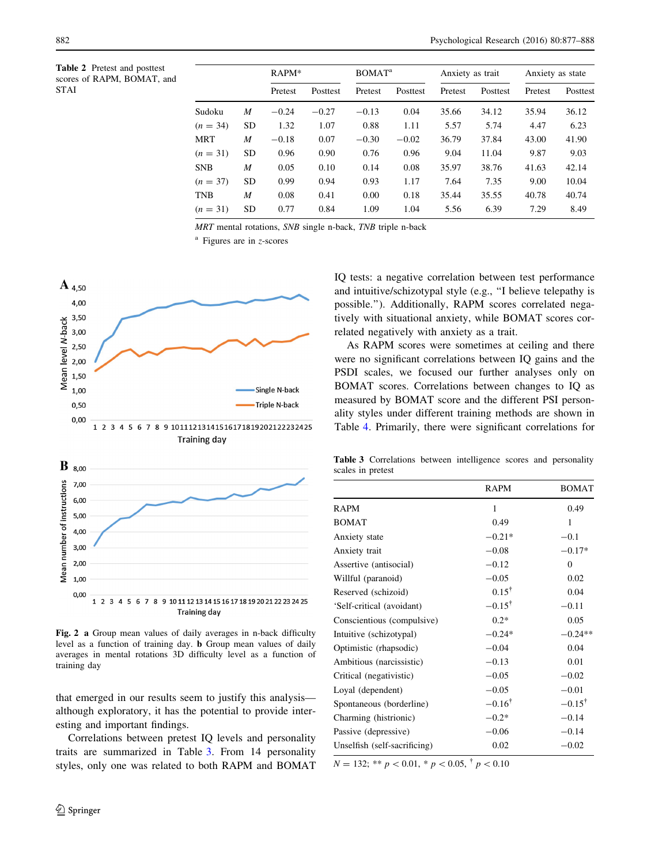<span id="page-5-0"></span>Table 2 Pretest and posttest scores of RAPM, BOMAT, and STAI

|            |           | $RAPM*$ |          | <b>BOMAT</b> <sup>a</sup> |          | Anxiety as trait |          | Anxiety as state |          |  |
|------------|-----------|---------|----------|---------------------------|----------|------------------|----------|------------------|----------|--|
|            |           | Pretest | Posttest | Pretest                   | Posttest | Pretest          | Posttest | Pretest          | Posttest |  |
| Sudoku     | M         | $-0.24$ | $-0.27$  | $-0.13$                   | 0.04     | 35.66            | 34.12    | 35.94            | 36.12    |  |
| $(n = 34)$ | <b>SD</b> | 1.32    | 1.07     | 0.88                      | 1.11     | 5.57             | 5.74     | 4.47             | 6.23     |  |
| MRT        | M         | $-0.18$ | 0.07     | $-0.30$                   | $-0.02$  | 36.79            | 37.84    | 43.00            | 41.90    |  |
| $(n = 31)$ | <b>SD</b> | 0.96    | 0.90     | 0.76                      | 0.96     | 9.04             | 11.04    | 9.87             | 9.03     |  |
| SNB        | M         | 0.05    | 0.10     | 0.14                      | 0.08     | 35.97            | 38.76    | 41.63            | 42.14    |  |
| $(n = 37)$ | <b>SD</b> | 0.99    | 0.94     | 0.93                      | 1.17     | 7.64             | 7.35     | 9.00             | 10.04    |  |
| TNB        | M         | 0.08    | 0.41     | 0.00                      | 0.18     | 35.44            | 35.55    | 40.78            | 40.74    |  |
| $(n = 31)$ | <b>SD</b> | 0.77    | 0.84     | 1.09                      | 1.04     | 5.56             | 6.39     | 7.29             | 8.49     |  |

MRT mental rotations, SNB single n-back, TNB triple n-back

Figures are in  $z$ -scores



Fig. 2 a Group mean values of daily averages in n-back difficulty level as a function of training day. b Group mean values of daily averages in mental rotations 3D difficulty level as a function of training day

that emerged in our results seem to justify this analysis although exploratory, it has the potential to provide interesting and important findings.

Correlations between pretest IQ levels and personality traits are summarized in Table 3. From 14 personality styles, only one was related to both RAPM and BOMAT IQ tests: a negative correlation between test performance and intuitive/schizotypal style (e.g., ''I believe telepathy is possible.''). Additionally, RAPM scores correlated negatively with situational anxiety, while BOMAT scores correlated negatively with anxiety as a trait.

As RAPM scores were sometimes at ceiling and there were no significant correlations between IQ gains and the PSDI scales, we focused our further analyses only on BOMAT scores. Correlations between changes to IQ as measured by BOMAT score and the different PSI personality styles under different training methods are shown in Table [4](#page-6-0). Primarily, there were significant correlations for

Table 3 Correlations between intelligence scores and personality scales in pretest

|                              | <b>RAPM</b>       | <b>BOMAT</b>      |
|------------------------------|-------------------|-------------------|
| <b>RAPM</b>                  | 1                 | 0.49              |
| <b>BOMAT</b>                 | 0.49              | 1                 |
| Anxiety state                | $-0.21*$          | $-0.1$            |
| Anxiety trait                | $-0.08$           | $-0.17*$          |
| Assertive (antisocial)       | $-0.12$           | $\Omega$          |
| Willful (paranoid)           | $-0.05$           | 0.02              |
| Reserved (schizoid)          | $0.15^{\dagger}$  | 0.04              |
| 'Self-critical (avoidant)    | $-0.15^{\dagger}$ | $-0.11$           |
| Conscientious (compulsive)   | $0.2*$            | 0.05              |
| Intuitive (schizotypal)      | $-0.24*$          | $-0.24**$         |
| Optimistic (rhapsodic)       | $-0.04$           | 0.04              |
| Ambitious (narcissistic)     | $-0.13$           | 0.01              |
| Critical (negativistic)      | $-0.05$           | $-0.02$           |
| Loyal (dependent)            | $-0.05$           | $-0.01$           |
| Spontaneous (borderline)     | $-0.16^{\dagger}$ | $-0.15^{\dagger}$ |
| Charming (histrionic)        | $-0.2*$           | $-0.14$           |
| Passive (depressive)         | $-0.06$           | $-0.14$           |
| Unselfish (self-sacrificing) | 0.02              | $-0.02$           |
|                              |                   |                   |

 $N = 132$ ; \*\*  $p < 0.01$ , \*  $p < 0.05$ , <sup>†</sup>  $p < 0.10$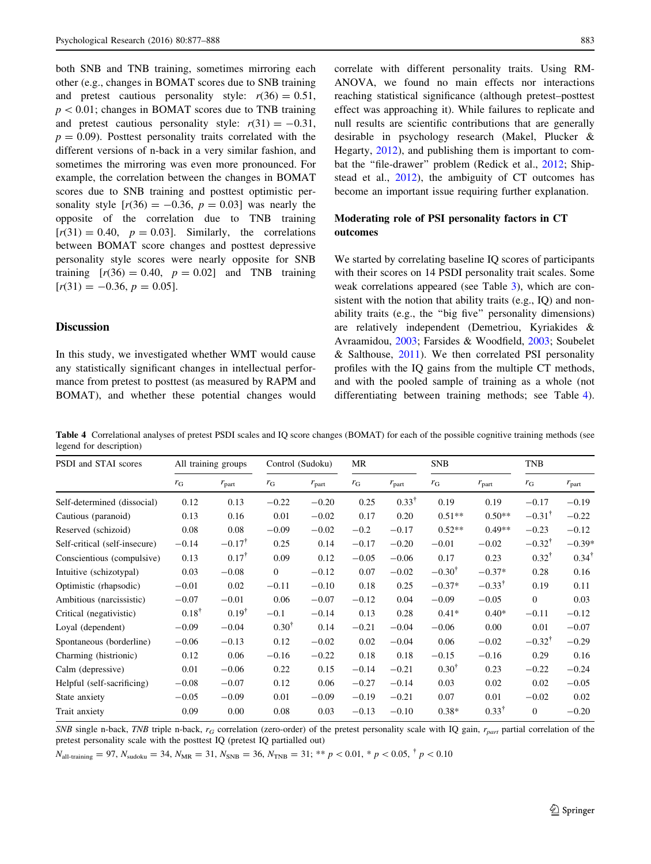<span id="page-6-0"></span>both SNB and TNB training, sometimes mirroring each other (e.g., changes in BOMAT scores due to SNB training and pretest cautious personality style:  $r(36) = 0.51$ ,  $p < 0.01$ ; changes in BOMAT scores due to TNB training and pretest cautious personality style:  $r(31) = -0.31$ ,  $p = 0.09$ ). Posttest personality traits correlated with the different versions of n-back in a very similar fashion, and sometimes the mirroring was even more pronounced. For example, the correlation between the changes in BOMAT scores due to SNB training and posttest optimistic personality style  $[r(36) = -0.36, p = 0.03]$  was nearly the opposite of the correlation due to TNB training  $[r(31) = 0.40, p = 0.03]$ . Similarly, the correlations

between BOMAT score changes and posttest depressive personality style scores were nearly opposite for SNB training  $[r(36) = 0.40, p = 0.02]$  and TNB training  $[r(31) = -0.36, p = 0.05].$ 

# **Discussion**

In this study, we investigated whether WMT would cause any statistically significant changes in intellectual performance from pretest to posttest (as measured by RAPM and BOMAT), and whether these potential changes would correlate with different personality traits. Using RM-ANOVA, we found no main effects nor interactions reaching statistical significance (although pretest–posttest effect was approaching it). While failures to replicate and null results are scientific contributions that are generally desirable in psychology research (Makel, Plucker & Hegarty, [2012](#page-10-0)), and publishing them is important to combat the ''file-drawer'' problem (Redick et al., [2012](#page-10-0); Shipstead et al., [2012\)](#page-11-0), the ambiguity of CT outcomes has become an important issue requiring further explanation.

# Moderating role of PSI personality factors in CT outcomes

We started by correlating baseline IQ scores of participants with their scores on 14 PSDI personality trait scales. Some weak correlations appeared (see Table [3\)](#page-5-0), which are consistent with the notion that ability traits (e.g., IQ) and nonability traits (e.g., the ''big five'' personality dimensions) are relatively independent (Demetriou, Kyriakides & Avraamidou, [2003;](#page-9-0) Farsides & Woodfield, [2003](#page-9-0); Soubelet & Salthouse, [2011\)](#page-11-0). We then correlated PSI personality profiles with the IQ gains from the multiple CT methods, and with the pooled sample of training as a whole (not differentiating between training methods; see Table 4).

Table 4 Correlational analyses of pretest PSDI scales and IQ score changes (BOMAT) for each of the possible cognitive training methods (see legend for description)

| PSDI and STAI scores          | All training groups |                   | Control (Sudoku) |                   | MR          |                   | <b>SNB</b>        |                   | <b>TNB</b>           |                   |
|-------------------------------|---------------------|-------------------|------------------|-------------------|-------------|-------------------|-------------------|-------------------|----------------------|-------------------|
|                               | $r_{\rm G}$         | $r_{\text{part}}$ | $r_{\rm G}$      | $r_{\text{part}}$ | $r_{\rm G}$ | $r_{\text{part}}$ | $r_{\rm G}$       | $r_{\text{part}}$ | $r_{\rm G}$          | $r_{\text{part}}$ |
| Self-determined (dissocial)   | 0.12                | 0.13              | $-0.22$          | $-0.20$           | 0.25        | $0.33^{\dagger}$  | 0.19              | 0.19              | $-0.17$              | $-0.19$           |
| Cautious (paranoid)           | 0.13                | 0.16              | 0.01             | $-0.02$           | 0.17        | 0.20              | $0.51**$          | $0.50**$          | $-0.31$ <sup>T</sup> | $-0.22$           |
| Reserved (schizoid)           | 0.08                | 0.08              | $-0.09$          | $-0.02$           | $-0.2$      | $-0.17$           | $0.52**$          | $0.49**$          | $-0.23$              | $-0.12$           |
| Self-critical (self-insecure) | $-0.14$             | $-0.17^{\dagger}$ | 0.25             | 0.14              | $-0.17$     | $-0.20$           | $-0.01$           | $-0.02$           | $-0.32$ <sup>†</sup> | $-0.39*$          |
| Conscientious (compulsive)    | 0.13                | $0.17^{\dagger}$  | 0.09             | 0.12              | $-0.05$     | $-0.06$           | 0.17              | 0.23              | $0.32^T$             | $0.34^{\dagger}$  |
| Intuitive (schizotypal)       | 0.03                | $-0.08$           | $\mathbf{0}$     | $-0.12$           | 0.07        | $-0.02$           | $-0.30^{\dagger}$ | $-0.37*$          | 0.28                 | 0.16              |
| Optimistic (rhapsodic)        | $-0.01$             | 0.02              | $-0.11$          | $-0.10$           | 0.18        | 0.25              | $-0.37*$          | $-0.33^{\dagger}$ | 0.19                 | 0.11              |
| Ambitious (narcissistic)      | $-0.07$             | $-0.01$           | 0.06             | $-0.07$           | $-0.12$     | 0.04              | $-0.09$           | $-0.05$           | $\mathbf{0}$         | 0.03              |
| Critical (negativistic)       | $0.18^{\dagger}$    | $0.19^{\dagger}$  | $-0.1$           | $-0.14$           | 0.13        | 0.28              | $0.41*$           | $0.40*$           | $-0.11$              | $-0.12$           |
| Loyal (dependent)             | $-0.09$             | $-0.04$           | $0.30^{\dagger}$ | 0.14              | $-0.21$     | $-0.04$           | $-0.06$           | 0.00              | 0.01                 | $-0.07$           |
| Spontaneous (borderline)      | $-0.06$             | $-0.13$           | 0.12             | $-0.02$           | 0.02        | $-0.04$           | 0.06              | $-0.02$           | $-0.32^{\dagger}$    | $-0.29$           |
| Charming (histrionic)         | 0.12                | 0.06              | $-0.16$          | $-0.22$           | 0.18        | 0.18              | $-0.15$           | $-0.16$           | 0.29                 | 0.16              |
| Calm (depressive)             | 0.01                | $-0.06$           | 0.22             | 0.15              | $-0.14$     | $-0.21$           | 0.30 <sup>T</sup> | 0.23              | $-0.22$              | $-0.24$           |
| Helpful (self-sacrificing)    | $-0.08$             | $-0.07$           | 0.12             | 0.06              | $-0.27$     | $-0.14$           | 0.03              | 0.02              | 0.02                 | $-0.05$           |
| State anxiety                 | $-0.05$             | $-0.09$           | 0.01             | $-0.09$           | $-0.19$     | $-0.21$           | 0.07              | 0.01              | $-0.02$              | 0.02              |
| Trait anxiety                 | 0.09                | 0.00              | 0.08             | 0.03              | $-0.13$     | $-0.10$           | $0.38*$           | $0.33^{\dagger}$  | $\mathbf{0}$         | $-0.20$           |

SNB single n-back, TNB triple n-back,  $r_G$  correlation (zero-order) of the pretest personality scale with IQ gain,  $r_{part}$  partial correlation of the pretest personality scale with the posttest IQ (pretest IQ partialled out)

 $N_{\text{all-training}} = 97, N_{\text{suboku}} = 34, N_{\text{MR}} = 31, N_{\text{SNB}} = 36, N_{\text{TNB}} = 31; ** p < 0.01, * p < 0.05,$ <sup>†</sup>  $p < 0.10$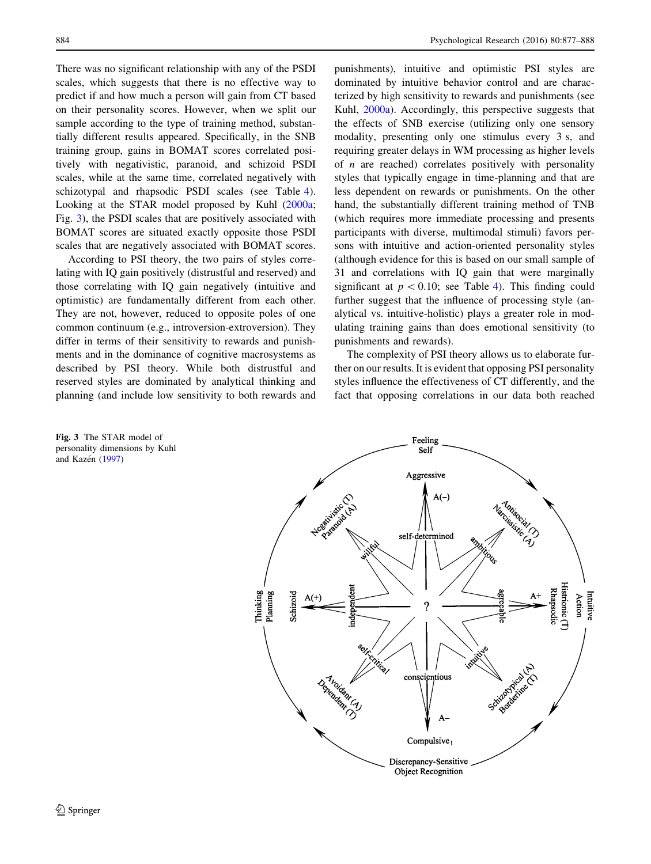There was no significant relationship with any of the PSDI scales, which suggests that there is no effective way to predict if and how much a person will gain from CT based on their personality scores. However, when we split our sample according to the type of training method, substantially different results appeared. Specifically, in the SNB training group, gains in BOMAT scores correlated positively with negativistic, paranoid, and schizoid PSDI scales, while at the same time, correlated negatively with schizotypal and rhapsodic PSDI scales (see Table [4](#page-6-0)). Looking at the STAR model proposed by Kuhl ([2000a](#page-10-0); Fig. 3), the PSDI scales that are positively associated with BOMAT scores are situated exactly opposite those PSDI scales that are negatively associated with BOMAT scores.

According to PSI theory, the two pairs of styles correlating with IQ gain positively (distrustful and reserved) and those correlating with IQ gain negatively (intuitive and optimistic) are fundamentally different from each other. They are not, however, reduced to opposite poles of one common continuum (e.g., introversion-extroversion). They differ in terms of their sensitivity to rewards and punishments and in the dominance of cognitive macrosystems as described by PSI theory. While both distrustful and reserved styles are dominated by analytical thinking and planning (and include low sensitivity to both rewards and

punishments), intuitive and optimistic PSI styles are dominated by intuitive behavior control and are characterized by high sensitivity to rewards and punishments (see Kuhl, [2000a\)](#page-10-0). Accordingly, this perspective suggests that the effects of SNB exercise (utilizing only one sensory modality, presenting only one stimulus every 3 s, and requiring greater delays in WM processing as higher levels of  $n$  are reached) correlates positively with personality styles that typically engage in time-planning and that are less dependent on rewards or punishments. On the other hand, the substantially different training method of TNB (which requires more immediate processing and presents participants with diverse, multimodal stimuli) favors persons with intuitive and action-oriented personality styles (although evidence for this is based on our small sample of 31 and correlations with IQ gain that were marginally significant at  $p < 0.10$ ; see Table [4](#page-6-0)). This finding could further suggest that the influence of processing style (analytical vs. intuitive-holistic) plays a greater role in modulating training gains than does emotional sensitivity (to punishments and rewards).

The complexity of PSI theory allows us to elaborate further on our results. It is evident that opposing PSI personality styles influence the effectiveness of CT differently, and the fact that opposing correlations in our data both reached



Fig. 3 The STAR model of personality dimensions by Kuhl and Kazén [\(1997](#page-10-0))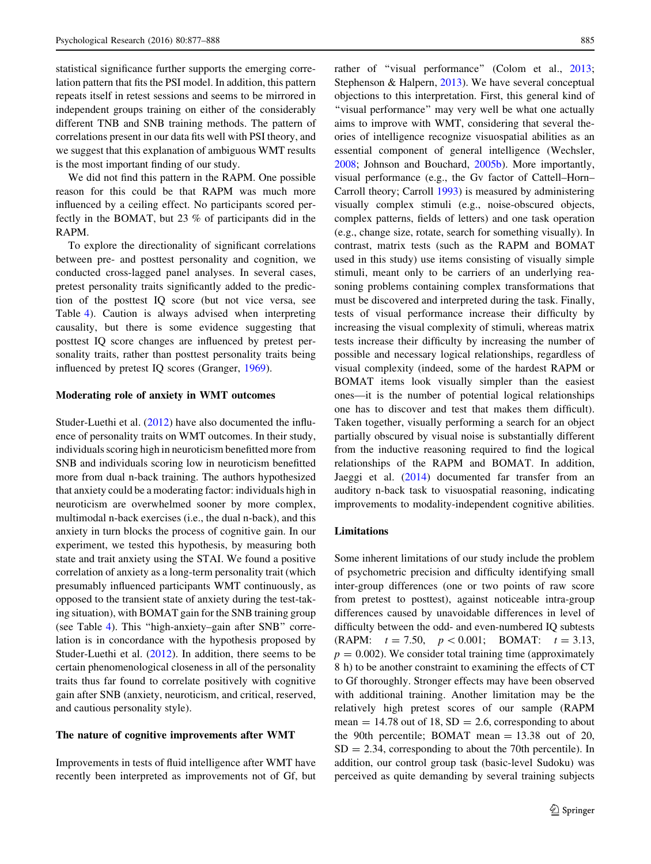<span id="page-8-0"></span>statistical significance further supports the emerging correlation pattern that fits the PSI model. In addition, this pattern repeats itself in retest sessions and seems to be mirrored in independent groups training on either of the considerably different TNB and SNB training methods. The pattern of correlations present in our data fits well with PSI theory, and we suggest that this explanation of ambiguous WMT results is the most important finding of our study.

We did not find this pattern in the RAPM. One possible reason for this could be that RAPM was much more influenced by a ceiling effect. No participants scored perfectly in the BOMAT, but 23 % of participants did in the RAPM.

To explore the directionality of significant correlations between pre- and posttest personality and cognition, we conducted cross-lagged panel analyses. In several cases, pretest personality traits significantly added to the prediction of the posttest IQ score (but not vice versa, see Table [4](#page-6-0)). Caution is always advised when interpreting causality, but there is some evidence suggesting that posttest IQ score changes are influenced by pretest personality traits, rather than posttest personality traits being influenced by pretest IQ scores (Granger, [1969](#page-9-0)).

## Moderating role of anxiety in WMT outcomes

Studer-Luethi et al. ([2012\)](#page-11-0) have also documented the influence of personality traits on WMT outcomes. In their study, individuals scoring high in neuroticism benefitted more from SNB and individuals scoring low in neuroticism benefitted more from dual n-back training. The authors hypothesized that anxiety could be a moderating factor: individuals high in neuroticism are overwhelmed sooner by more complex, multimodal n-back exercises (i.e., the dual n-back), and this anxiety in turn blocks the process of cognitive gain. In our experiment, we tested this hypothesis, by measuring both state and trait anxiety using the STAI. We found a positive correlation of anxiety as a long-term personality trait (which presumably influenced participants WMT continuously, as opposed to the transient state of anxiety during the test-taking situation), with BOMAT gain for the SNB training group (see Table [4\)](#page-6-0). This ''high-anxiety–gain after SNB'' correlation is in concordance with the hypothesis proposed by Studer-Luethi et al. [\(2012](#page-11-0)). In addition, there seems to be certain phenomenological closeness in all of the personality traits thus far found to correlate positively with cognitive gain after SNB (anxiety, neuroticism, and critical, reserved, and cautious personality style).

## The nature of cognitive improvements after WMT

Improvements in tests of fluid intelligence after WMT have recently been interpreted as improvements not of Gf, but rather of "visual performance" (Colom et al., [2013](#page-9-0); Stephenson & Halpern, [2013\)](#page-11-0). We have several conceptual objections to this interpretation. First, this general kind of "visual performance" may very well be what one actually aims to improve with WMT, considering that several theories of intelligence recognize visuospatial abilities as an essential component of general intelligence (Wechsler, [2008](#page-11-0); Johnson and Bouchard, [2005b](#page-10-0)). More importantly, visual performance (e.g., the Gv factor of Cattell–Horn– Carroll theory; Carroll [1993\)](#page-9-0) is measured by administering visually complex stimuli (e.g., noise-obscured objects, complex patterns, fields of letters) and one task operation (e.g., change size, rotate, search for something visually). In contrast, matrix tests (such as the RAPM and BOMAT used in this study) use items consisting of visually simple stimuli, meant only to be carriers of an underlying reasoning problems containing complex transformations that must be discovered and interpreted during the task. Finally, tests of visual performance increase their difficulty by increasing the visual complexity of stimuli, whereas matrix tests increase their difficulty by increasing the number of possible and necessary logical relationships, regardless of visual complexity (indeed, some of the hardest RAPM or BOMAT items look visually simpler than the easiest ones—it is the number of potential logical relationships one has to discover and test that makes them difficult). Taken together, visually performing a search for an object partially obscured by visual noise is substantially different from the inductive reasoning required to find the logical relationships of the RAPM and BOMAT. In addition, Jaeggi et al. ([2014\)](#page-10-0) documented far transfer from an auditory n-back task to visuospatial reasoning, indicating improvements to modality-independent cognitive abilities.

## Limitations

Some inherent limitations of our study include the problem of psychometric precision and difficulty identifying small inter-group differences (one or two points of raw score from pretest to posttest), against noticeable intra-group differences caused by unavoidable differences in level of difficulty between the odd- and even-numbered IQ subtests (RAPM:  $t = 7.50$ ,  $p < 0.001$ ; BOMAT:  $t = 3.13$ ,  $p = 0.002$ ). We consider total training time (approximately 8 h) to be another constraint to examining the effects of CT to Gf thoroughly. Stronger effects may have been observed with additional training. Another limitation may be the relatively high pretest scores of our sample (RAPM mean  $= 14.78$  out of 18, SD  $= 2.6$ , corresponding to about the 90th percentile; BOMAT mean  $= 13.38$  out of 20,  $SD = 2.34$ , corresponding to about the 70th percentile). In addition, our control group task (basic-level Sudoku) was perceived as quite demanding by several training subjects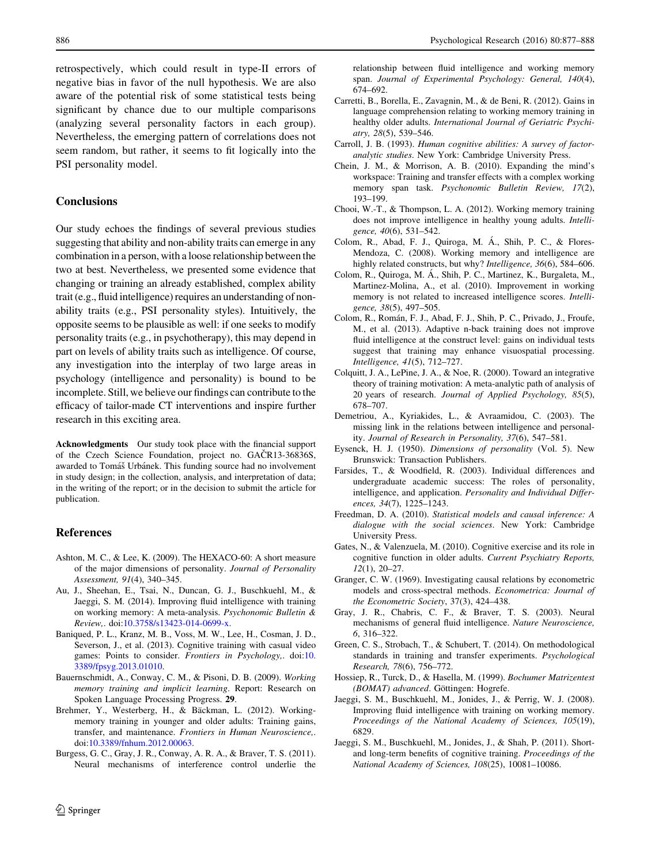<span id="page-9-0"></span>retrospectively, which could result in type-II errors of negative bias in favor of the null hypothesis. We are also aware of the potential risk of some statistical tests being significant by chance due to our multiple comparisons (analyzing several personality factors in each group). Nevertheless, the emerging pattern of correlations does not seem random, but rather, it seems to fit logically into the PSI personality model.

# **Conclusions**

Our study echoes the findings of several previous studies suggesting that ability and non-ability traits can emerge in any combination in a person, with a loose relationship between the two at best. Nevertheless, we presented some evidence that changing or training an already established, complex ability trait (e.g., fluid intelligence) requires an understanding of nonability traits (e.g., PSI personality styles). Intuitively, the opposite seems to be plausible as well: if one seeks to modify personality traits (e.g., in psychotherapy), this may depend in part on levels of ability traits such as intelligence. Of course, any investigation into the interplay of two large areas in psychology (intelligence and personality) is bound to be incomplete. Still, we believe our findings can contribute to the efficacy of tailor-made CT interventions and inspire further research in this exciting area.

Acknowledgments Our study took place with the financial support of the Czech Science Foundation, project no. GACR13-36836S, awarded to Tomáš Urbánek. This funding source had no involvement in study design; in the collection, analysis, and interpretation of data; in the writing of the report; or in the decision to submit the article for publication.

# References

- Ashton, M. C., & Lee, K. (2009). The HEXACO-60: A short measure of the major dimensions of personality. Journal of Personality Assessment, 91(4), 340–345.
- Au, J., Sheehan, E., Tsai, N., Duncan, G. J., Buschkuehl, M., & Jaeggi, S. M. (2014). Improving fluid intelligence with training on working memory: A meta-analysis. Psychonomic Bulletin & Review,. doi:[10.3758/s13423-014-0699-x.](http://dx.doi.org/10.3758/s13423-014-0699-x)
- Baniqued, P. L., Kranz, M. B., Voss, M. W., Lee, H., Cosman, J. D., Severson, J., et al. (2013). Cognitive training with casual video games: Points to consider. Frontiers in Psychology,. doi:[10.](http://dx.doi.org/10.3389/fpsyg.2013.01010) [3389/fpsyg.2013.01010](http://dx.doi.org/10.3389/fpsyg.2013.01010).
- Bauernschmidt, A., Conway, C. M., & Pisoni, D. B. (2009). Working memory training and implicit learning. Report: Research on Spoken Language Processing Progress. 29.
- Brehmer, Y., Westerberg, H., & Bäckman, L. (2012). Workingmemory training in younger and older adults: Training gains, transfer, and maintenance. Frontiers in Human Neuroscience,. doi[:10.3389/fnhum.2012.00063.](http://dx.doi.org/10.3389/fnhum.2012.00063)
- Burgess, G. C., Gray, J. R., Conway, A. R. A., & Braver, T. S. (2011). Neural mechanisms of interference control underlie the

relationship between fluid intelligence and working memory span. Journal of Experimental Psychology: General, 140(4), 674–692.

- Carretti, B., Borella, E., Zavagnin, M., & de Beni, R. (2012). Gains in language comprehension relating to working memory training in healthy older adults. International Journal of Geriatric Psychiatry, 28(5), 539–546.
- Carroll, J. B. (1993). Human cognitive abilities: A survey of factoranalytic studies. New York: Cambridge University Press.
- Chein, J. M., & Morrison, A. B. (2010). Expanding the mind's workspace: Training and transfer effects with a complex working memory span task. Psychonomic Bulletin Review, 17(2), 193–199.
- Chooi, W.-T., & Thompson, L. A. (2012). Working memory training does not improve intelligence in healthy young adults. Intelligence, 40(6), 531–542.
- Colom, R., Abad, F. J., Quiroga, M. Á., Shih, P. C., & Flores-Mendoza, C. (2008). Working memory and intelligence are highly related constructs, but why? Intelligence, 36(6), 584-606.
- Colom, R., Quiroga, M. Á., Shih, P. C., Martinez, K., Burgaleta, M., Martinez-Molina, A., et al. (2010). Improvement in working memory is not related to increased intelligence scores. Intelligence, 38(5), 497–505.
- Colom, R., Román, F. J., Abad, F. J., Shih, P. C., Privado, J., Froufe, M., et al. (2013). Adaptive n-back training does not improve fluid intelligence at the construct level: gains on individual tests suggest that training may enhance visuospatial processing. Intelligence, 41(5), 712–727.
- Colquitt, J. A., LePine, J. A., & Noe, R. (2000). Toward an integrative theory of training motivation: A meta-analytic path of analysis of 20 years of research. Journal of Applied Psychology, 85(5), 678–707.
- Demetriou, A., Kyriakides, L., & Avraamidou, C. (2003). The missing link in the relations between intelligence and personality. Journal of Research in Personality, 37(6), 547–581.
- Eysenck, H. J. (1950). Dimensions of personality (Vol. 5). New Brunswick: Transaction Publishers.
- Farsides, T., & Woodfield, R. (2003). Individual differences and undergraduate academic success: The roles of personality, intelligence, and application. Personality and Individual Differences, 34(7), 1225–1243.
- Freedman, D. A. (2010). Statistical models and causal inference: A dialogue with the social sciences. New York: Cambridge University Press.
- Gates, N., & Valenzuela, M. (2010). Cognitive exercise and its role in cognitive function in older adults. Current Psychiatry Reports, 12(1), 20–27.
- Granger, C. W. (1969). Investigating causal relations by econometric models and cross-spectral methods. Econometrica: Journal of the Econometric Society, 37(3), 424–438.
- Gray, J. R., Chabris, C. F., & Braver, T. S. (2003). Neural mechanisms of general fluid intelligence. Nature Neuroscience, 6, 316–322.
- Green, C. S., Strobach, T., & Schubert, T. (2014). On methodological standards in training and transfer experiments. Psychological Research, 78(6), 756–772.
- Hossiep, R., Turck, D., & Hasella, M. (1999). Bochumer Matrizentest  $(BOMAT)$  advanced. Göttingen: Hogrefe.
- Jaeggi, S. M., Buschkuehl, M., Jonides, J., & Perrig, W. J. (2008). Improving fluid intelligence with training on working memory. Proceedings of the National Academy of Sciences, 105(19), 6829.
- Jaeggi, S. M., Buschkuehl, M., Jonides, J., & Shah, P. (2011). Shortand long-term benefits of cognitive training. Proceedings of the National Academy of Sciences, 108(25), 10081–10086.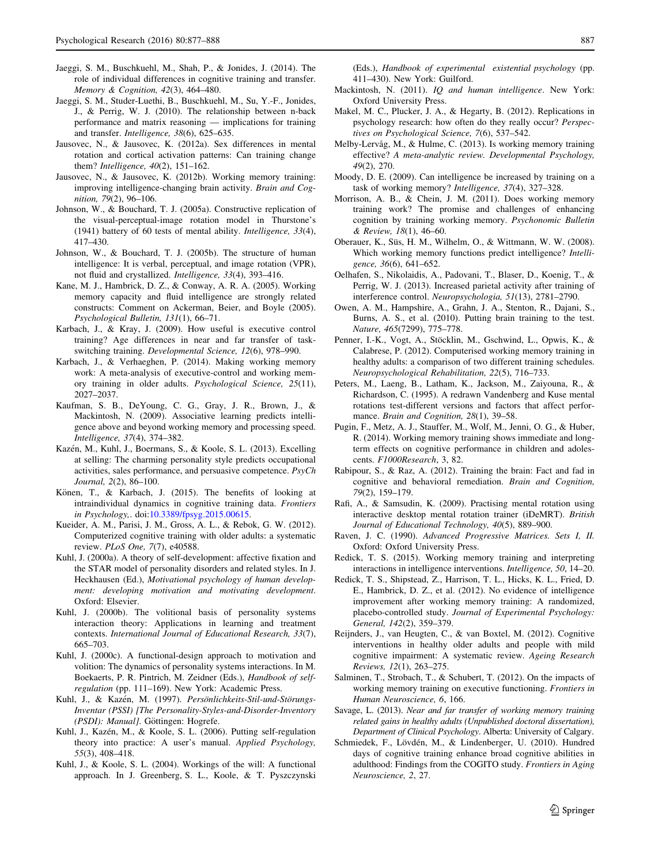- <span id="page-10-0"></span>Jaeggi, S. M., Buschkuehl, M., Shah, P., & Jonides, J. (2014). The role of individual differences in cognitive training and transfer. Memory & Cognition, 42(3), 464–480.
- Jaeggi, S. M., Studer-Luethi, B., Buschkuehl, M., Su, Y.-F., Jonides, J., & Perrig, W. J. (2010). The relationship between n-back performance and matrix reasoning — implications for training and transfer. Intelligence, 38(6), 625–635.
- Jausovec, N., & Jausovec, K. (2012a). Sex differences in mental rotation and cortical activation patterns: Can training change them? Intelligence, 40(2), 151–162.
- Jausovec, N., & Jausovec, K. (2012b). Working memory training: improving intelligence-changing brain activity. Brain and Cognition, 79(2), 96–106.
- Johnson, W., & Bouchard, T. J. (2005a). Constructive replication of the visual-perceptual-image rotation model in Thurstone's (1941) battery of 60 tests of mental ability. Intelligence, 33(4), 417–430.
- Johnson, W., & Bouchard, T. J. (2005b). The structure of human intelligence: It is verbal, perceptual, and image rotation (VPR), not fluid and crystallized. Intelligence, 33(4), 393–416.
- Kane, M. J., Hambrick, D. Z., & Conway, A. R. A. (2005). Working memory capacity and fluid intelligence are strongly related constructs: Comment on Ackerman, Beier, and Boyle (2005). Psychological Bulletin, 131(1), 66–71.
- Karbach, J., & Kray, J. (2009). How useful is executive control training? Age differences in near and far transfer of taskswitching training. Developmental Science, 12(6), 978–990.
- Karbach, J., & Verhaeghen, P. (2014). Making working memory work: A meta-analysis of executive-control and working memory training in older adults. Psychological Science, 25(11), 2027–2037.
- Kaufman, S. B., DeYoung, C. G., Gray, J. R., Brown, J., & Mackintosh, N. (2009). Associative learning predicts intelligence above and beyond working memory and processing speed. Intelligence, 37(4), 374–382.
- Kazén, M., Kuhl, J., Boermans, S., & Koole, S. L. (2013). Excelling at selling: The charming personality style predicts occupational activities, sales performance, and persuasive competence. PsyCh Journal, 2(2), 86–100.
- Könen, T., & Karbach, J. (2015). The benefits of looking at intraindividual dynamics in cognitive training data. Frontiers in Psychology,. doi:[10.3389/fpsyg.2015.00615.](http://dx.doi.org/10.3389/fpsyg.2015.00615)
- Kueider, A. M., Parisi, J. M., Gross, A. L., & Rebok, G. W. (2012). Computerized cognitive training with older adults: a systematic review. PLoS One, 7(7), e40588.
- Kuhl, J. (2000a). A theory of self-development: affective fixation and the STAR model of personality disorders and related styles. In J. Heckhausen (Ed.), Motivational psychology of human development: developing motivation and motivating development. Oxford: Elsevier.
- Kuhl, J. (2000b). The volitional basis of personality systems interaction theory: Applications in learning and treatment contexts. International Journal of Educational Research, 33(7), 665–703.
- Kuhl, J. (2000c). A functional-design approach to motivation and volition: The dynamics of personality systems interactions. In M. Boekaerts, P. R. Pintrich, M. Zeidner (Eds.), Handbook of selfregulation (pp. 111–169). New York: Academic Press.
- Kuhl, J., & Kazén, M. (1997). Persönlichkeits-Stil-und-Störungs-Inventar (PSSI) [The Personality-Styles-and-Disorder-Inventory (PSDI): Manual]. Göttingen: Hogrefe.
- Kuhl, J., Kazén, M., & Koole, S. L. (2006). Putting self-regulation theory into practice: A user's manual. Applied Psychology, 55(3), 408–418.
- Kuhl, J., & Koole, S. L. (2004). Workings of the will: A functional approach. In J. Greenberg, S. L., Koole, & T. Pyszczynski

(Eds.), Handbook of experimental existential psychology (pp. 411–430). New York: Guilford.

- Mackintosh, N. (2011). *IO and human intelligence*. New York: Oxford University Press.
- Makel, M. C., Plucker, J. A., & Hegarty, B. (2012). Replications in psychology research: how often do they really occur? Perspectives on Psychological Science, 7(6), 537–542.
- Melby-Lervåg, M., & Hulme, C. (2013). Is working memory training effective? A meta-analytic review. Developmental Psychology, 49(2), 270.
- Moody, D. E. (2009). Can intelligence be increased by training on a task of working memory? Intelligence, 37(4), 327–328.
- Morrison, A. B., & Chein, J. M. (2011). Does working memory training work? The promise and challenges of enhancing cognition by training working memory. Psychonomic Bulletin & Review, 18(1), 46–60.
- Oberauer, K., Süs, H. M., Wilhelm, O., & Wittmann, W. W. (2008). Which working memory functions predict intelligence? *Intelli*gence, 36(6), 641–652.
- Oelhafen, S., Nikolaidis, A., Padovani, T., Blaser, D., Koenig, T., & Perrig, W. J. (2013). Increased parietal activity after training of interference control. Neuropsychologia, 51(13), 2781–2790.
- Owen, A. M., Hampshire, A., Grahn, J. A., Stenton, R., Dajani, S., Burns, A. S., et al. (2010). Putting brain training to the test. Nature, 465(7299), 775–778.
- Penner, I.-K., Vogt, A., Stöcklin, M., Gschwind, L., Opwis, K., & Calabrese, P. (2012). Computerised working memory training in healthy adults: a comparison of two different training schedules. Neuropsychological Rehabilitation, 22(5), 716–733.
- Peters, M., Laeng, B., Latham, K., Jackson, M., Zaiyouna, R., & Richardson, C. (1995). A redrawn Vandenberg and Kuse mental rotations test-different versions and factors that affect performance. Brain and Cognition, 28(1), 39-58.
- Pugin, F., Metz, A. J., Stauffer, M., Wolf, M., Jenni, O. G., & Huber, R. (2014). Working memory training shows immediate and longterm effects on cognitive performance in children and adolescents. F1000Research, 3, 82.
- Rabipour, S., & Raz, A. (2012). Training the brain: Fact and fad in cognitive and behavioral remediation. Brain and Cognition, 79(2), 159–179.
- Rafi, A., & Samsudin, K. (2009). Practising mental rotation using interactive desktop mental rotation trainer (iDeMRT). British Journal of Educational Technology, 40(5), 889–900.
- Raven, J. C. (1990). Advanced Progressive Matrices. Sets I, II. Oxford: Oxford University Press.
- Redick, T. S. (2015). Working memory training and interpreting interactions in intelligence interventions. Intelligence, 50, 14–20.
- Redick, T. S., Shipstead, Z., Harrison, T. L., Hicks, K. L., Fried, D. E., Hambrick, D. Z., et al. (2012). No evidence of intelligence improvement after working memory training: A randomized, placebo-controlled study. Journal of Experimental Psychology: General, 142(2), 359–379.
- Reijnders, J., van Heugten, C., & van Boxtel, M. (2012). Cognitive interventions in healthy older adults and people with mild cognitive impairment: A systematic review. Ageing Research Reviews, 12(1), 263–275.
- Salminen, T., Strobach, T., & Schubert, T. (2012). On the impacts of working memory training on executive functioning. Frontiers in Human Neuroscience, 6, 166.
- Savage, L. (2013). Near and far transfer of working memory training related gains in healthy adults (Unpublished doctoral dissertation), Department of Clinical Psychology. Alberta: University of Calgary.
- Schmiedek, F., Lövdén, M., & Lindenberger, U. (2010). Hundred days of cognitive training enhance broad cognitive abilities in adulthood: Findings from the COGITO study. Frontiers in Aging Neuroscience, 2, 27.